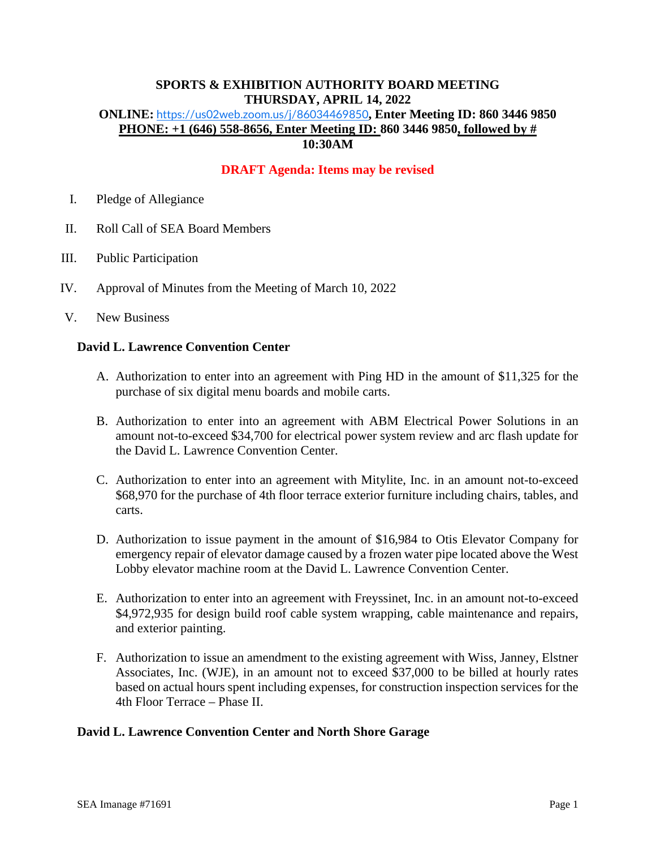# **SPORTS & EXHIBITION AUTHORITY BOARD MEETING THURSDAY, APRIL 14, 2022**

### **ONLINE:** <https://us02web.zoom.us/j/86034469850>**, Enter Meeting ID: 860 3446 9850 PHONE: +1 (646) 558-8656, Enter Meeting ID: 860 3446 9850, followed by # 10:30AM**

# **DRAFT Agenda: Items may be revised**

- I. Pledge of Allegiance
- II. Roll Call of SEA Board Members
- III. Public Participation
- IV. Approval of Minutes from the Meeting of March 10, 2022
- V. New Business

#### **David L. Lawrence Convention Center**

- A. Authorization to enter into an agreement with Ping HD in the amount of \$11,325 for the purchase of six digital menu boards and mobile carts.
- B. Authorization to enter into an agreement with ABM Electrical Power Solutions in an amount not-to-exceed \$34,700 for electrical power system review and arc flash update for the David L. Lawrence Convention Center.
- C. Authorization to enter into an agreement with Mitylite, Inc. in an amount not-to-exceed \$68,970 for the purchase of 4th floor terrace exterior furniture including chairs, tables, and carts.
- D. Authorization to issue payment in the amount of \$16,984 to Otis Elevator Company for emergency repair of elevator damage caused by a frozen water pipe located above the West Lobby elevator machine room at the David L. Lawrence Convention Center.
- E. Authorization to enter into an agreement with Freyssinet, Inc. in an amount not-to-exceed \$4,972,935 for design build roof cable system wrapping, cable maintenance and repairs, and exterior painting.
- F. Authorization to issue an amendment to the existing agreement with Wiss, Janney, Elstner Associates, Inc. (WJE), in an amount not to exceed \$37,000 to be billed at hourly rates based on actual hours spent including expenses, for construction inspection services for the 4th Floor Terrace – Phase II.

#### **David L. Lawrence Convention Center and North Shore Garage**